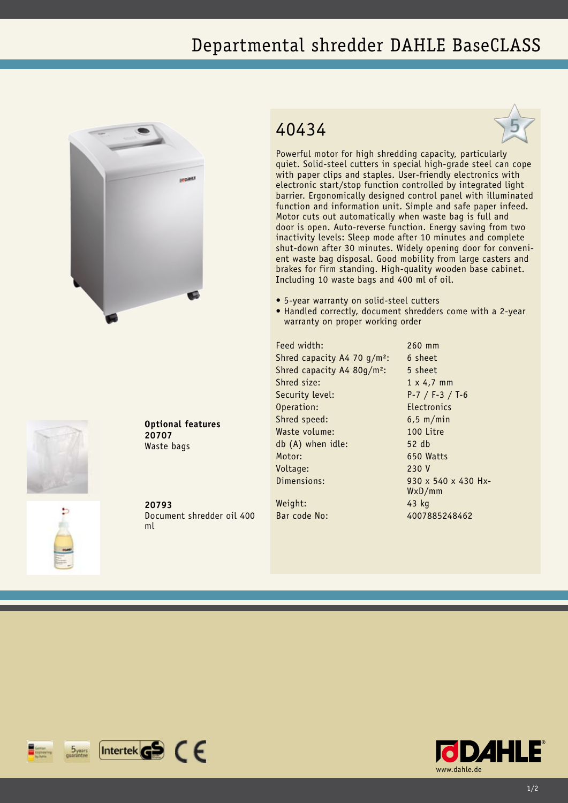## Departmental shredder DAHLE BaseCLASS





**Optional features 20707** Waste bags

**20793** Document shredder oil 400 ml

## 40434



Powerful motor for high shredding capacity, particularly quiet. Solid-steel cutters in special high-grade steel can cope with paper clips and staples. User-friendly electronics with electronic start/stop function controlled by integrated light barrier. Ergonomically designed control panel with illuminated function and information unit. Simple and safe paper infeed. Motor cuts out automatically when waste bag is full and door is open. Auto-reverse function. Energy saving from two inactivity levels: Sleep mode after 10 minutes and complete shut-down after 30 minutes. Widely opening door for convenient waste bag disposal. Good mobility from large casters and brakes for firm standing. High-quality wooden base cabinet. Including 10 waste bags and 400 ml of oil.

- • 5-year warranty on solid-steel cutters
- Handled correctly, document shredders come with a 2-year warranty on proper working order

Feed width: 260 mm Shred capacity A4 70  $q/m^2$ : 6 sheet Shred capacity A4 80g/m<sup>2</sup>: 5 sheet Shred size: 1 x 4.7 mm Security level: P-7 / F-3 / T-6 Operation: Electronics Shred speed: 6,5 m/min Waste volume: 100 Litre db (A) when idle: 52 db Motor: 650 Watts Voltage: 230 V Dimensions: 930 x 540 x 430 Hx-Weight: 43 kg

WxD/mm Bar code No: 4007885248462

 $[$ Intertek $\mathbf{G}$  $\mathbf{S}$   $\in$   $\in$  $5<sub>years</sub>$